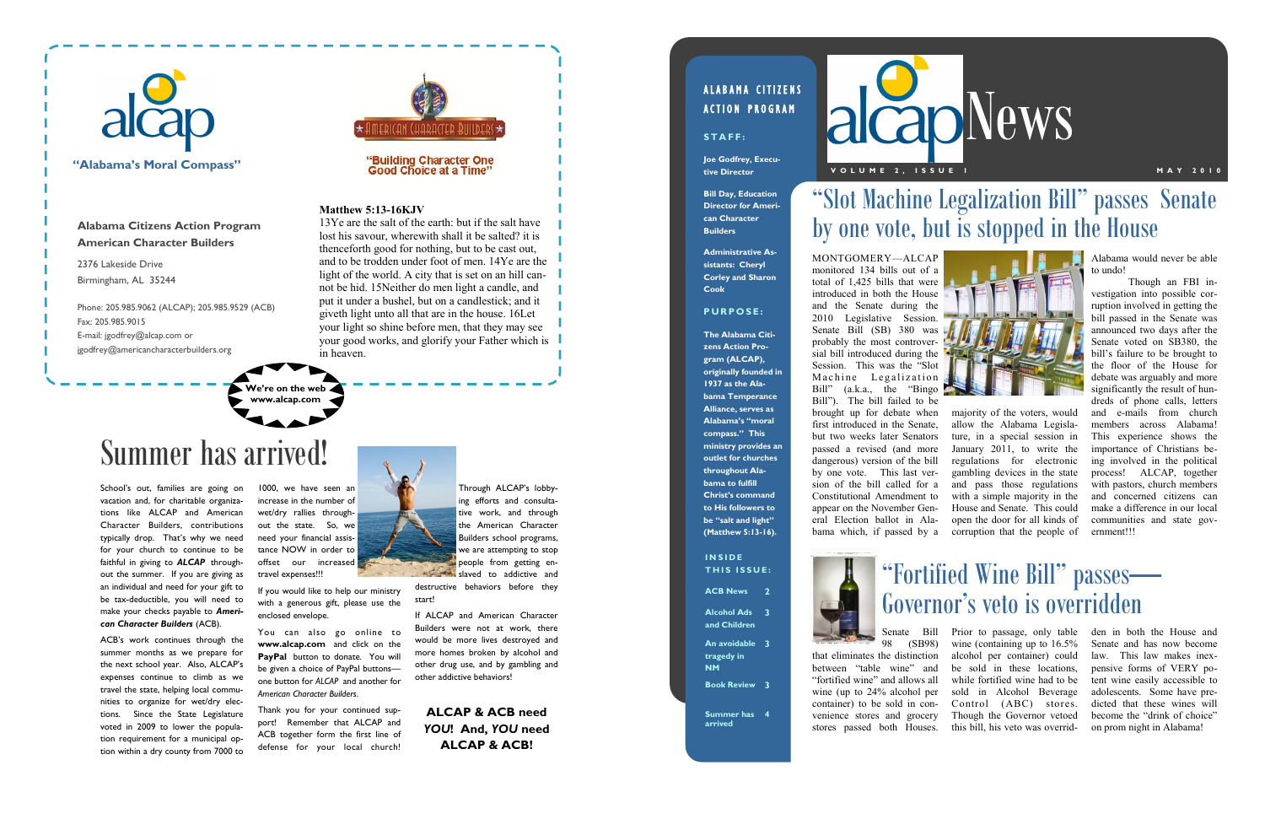1000, we have seen an increase in the number of wet/dry rallies throughout the state. So, we need your financial assistance NOW in order to offset our increased travel expenses!!!

If you would like to help our ministry with a generous gift, please use the enclosed envelope.

You can also go online to **www.alcap.com** and click on the PayPal button to donate. You will be given a choice of PayPal buttons one button for *ALCAP* and another for *American Character Builders*.

Thank you for your continued support! Remember that ALCAP and ACB together form the first line of defense for your local church!

Through ALCAP's lobbying efforts and consultative work, and through the American Character Builders school programs, we are attempting to stop people from getting enslaved to addictive and

School's out, families are going on vacation and, for charitable organizations like ALCAP and American Character Builders, contributions typically drop. That's why we need for your church to continue to be faithful in giving to *ALCAP* throughout the summer. If you are giving as an individual and need for your gift to be tax-deductible, you will need to make your checks payable to *American Character Builders* (ACB).

ACB's work continues through the summer months as we prepare for the next school year. Also, ALCAP's expenses continue to climb as we travel the state, helping local communities to organize for wet/dry elections. Since the State Legislature voted in 2009 to lower the population requirement for a municipal option within a dry county from 7000 to

destructive behaviors before they start!

If ALCAP and American Character Builders were not at work, there would be more lives destroyed and more homes broken by alcohol and other drug use, and by gambling and other addictive behaviors!

**ALCAP & ACB need**  *YOU***! And,** *YOU* **need ALCAP & ACB!**

## ALABAMA CITIZENS **ACTION PROGRAM**

STAFF:

2376 Lakeside Drive Birmingham, AL 35244

Phone: 205.985.9062 (ALCAP); 205.985.9529 (ACB) Fax: 205.985.9015 E-mail: jgodfrey@alcap.com or jgodfrey@americancharacterbuilders.org



#### "Building Character One **Good Choice at a Time**

### **Matthew 5:13-16KJV**

13Ye are the salt of the earth: but if the salt have lost his savour, wherewith shall it be salted? it is thenceforth good for nothing, but to be cast out, and to be trodden under foot of men. 14Ye are the light of the world. A city that is set on an hill cannot be hid. 15Neither do men light a candle, and put it under a bushel, but on a candlestick; and it giveth light unto all that are in the house. 16Let your light so shine before men, that they may see your good works, and glorify your Father which is in heaven.

> **I N S I D E THIS ISSUE:**

**Alabama Citizens Action Program American Character Builders**

# Summer has arrived!



## **"Alabama's Moral Compass"**

**We're on the web www.alcap.com**

Alabama would never be able to undo!

alcapNews **V O L U M E 2 , I S S U E 1 M A Y 2 0 1 0**



Though an FBI investigation into possible corruption involved in getting the bill passed in the Senate was announced two days after the Senate voted on SB380, the bill's failure to be brought to the floor of the House for debate was arguably and more significantly the result of hundreds of phone calls, letters and e-mails from church members across Alabama! This experience shows the importance of Christians being involved in the political process! ALCAP, together with pastors, church members and concerned citizens can make a difference in our local communities and state government!!!

MONTGOMERY—ALCAP monitored 134 bills out of a total of 1,425 bills that were introduced in both the House and the Senate during the 2010 Legislative Session. Senate Bill (SB) 380 was probably the most controversial bill introduced during the Session. This was the "Slot Machine Legalization Bill" (a.k.a., the "Bingo Bill"). The bill failed to be brought up for debate when first introduced in the Senate, but two weeks later Senators passed a revised (and more dangerous) version of the bill by one vote. This last version of the bill called for a Constitutional Amendment to appear on the November General Election ballot in Alabama which, if passed by a

majority of the voters, would allow the Alabama Legislature, in a special session in January 2011, to write the regulations for electronic gambling devices in the state and pass those regulations with a simple majority in the House and Senate. This could open the door for all kinds of corruption that the people of

Senate Bill 98 (SB98) that eliminates the distinction between "table wine" and "fortified wine" and allows all wine (up to 24% alcohol per container) to be sold in convenience stores and grocery stores passed both Houses. Prior to passage, only table wine (containing up to 16.5% alcohol per container) could be sold in these locations, while fortified wine had to be sold in Alcohol Beverage Control (ABC) stores. Though the Governor vetoed this bill, his veto was overrid-

den in both the House and Senate and has now become law. This law makes inexpensive forms of VERY potent wine easily accessible to adolescents. Some have predicted that these wines will become the "drink of choice" on prom night in Alabama!

# "Slot Machine Legalization Bill" passes Senate by one vote, but is stopped in the House

**ACB News 2**

**Alcohol Ads 3 and Children**

**An avoidable 3 tragedy in NM**

**Book Review 3**

**Summer has 4 arrived**



# "Fortified Wine Bill" passes— Governor's veto is overridden

**Joe Godfrey, Executive Director**

**Bill Day, Education Director for American Character Builders**

**Administrative Assistants: Cheryl Corley and Sharon Cook**

#### **P U R P O S E :**

**The Alabama Citizens Action Program (ALCAP), originally founded in 1937 as the Alabama Temperance Alliance, serves as Alabama's "moral compass." This ministry provides an outlet for churches throughout Alabama to fulfill Christ's command to His followers to be "salt and light"** 

**(Matthew 5:13-16).**